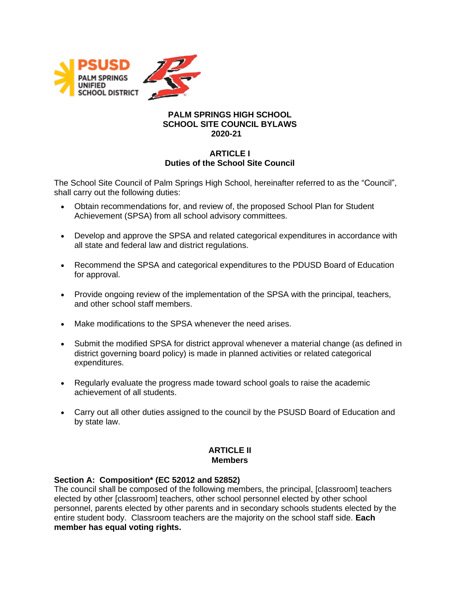

#### **PALM SPRINGS HIGH SCHOOL SCHOOL SITE COUNCIL BYLAWS 2020-21**

## **ARTICLE I Duties of the School Site Council**

The School Site Council of Palm Springs High School, hereinafter referred to as the "Council", shall carry out the following duties:

- Obtain recommendations for, and review of, the proposed School Plan for Student Achievement (SPSA) from all school advisory committees.
- Develop and approve the SPSA and related categorical expenditures in accordance with all state and federal law and district regulations.
- Recommend the SPSA and categorical expenditures to the PDUSD Board of Education for approval.
- Provide ongoing review of the implementation of the SPSA with the principal, teachers, and other school staff members.
- Make modifications to the SPSA whenever the need arises.
- Submit the modified SPSA for district approval whenever a material change (as defined in district governing board policy) is made in planned activities or related categorical expenditures.
- Regularly evaluate the progress made toward school goals to raise the academic achievement of all students.
- Carry out all other duties assigned to the council by the PSUSD Board of Education and by state law.

# **ARTICLE II Members**

## **Section A: Composition\* (EC 52012 and 52852)**

The council shall be composed of the following members, the principal, [classroom] teachers elected by other [classroom] teachers, other school personnel elected by other school personnel, parents elected by other parents and in secondary schools students elected by the entire student body. Classroom teachers are the majority on the school staff side. **Each member has equal voting rights.**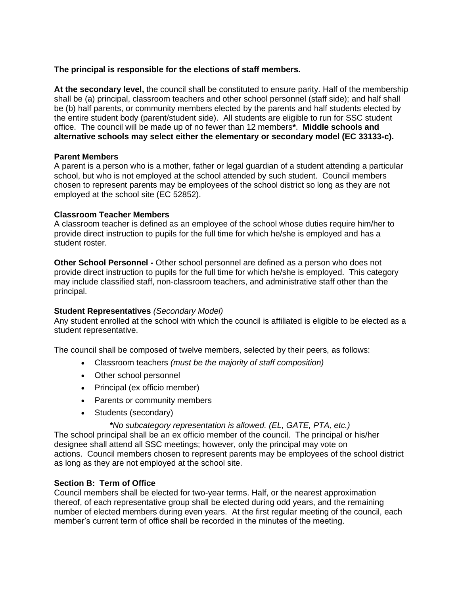#### **The principal is responsible for the elections of staff members.**

**At the secondary level,** the council shall be constituted to ensure parity. Half of the membership shall be (a) principal, classroom teachers and other school personnel (staff side); and half shall be (b) half parents, or community members elected by the parents and half students elected by the entire student body (parent/student side). All students are eligible to run for SSC student office. The council will be made up of no fewer than 12 members**\***. **Middle schools and alternative schools may select either the elementary or secondary model (EC 33133-c).**

#### **Parent Members**

A parent is a person who is a mother, father or legal guardian of a student attending a particular school, but who is not employed at the school attended by such student. Council members chosen to represent parents may be employees of the school district so long as they are not employed at the school site (EC 52852).

#### **Classroom Teacher Members**

A classroom teacher is defined as an employee of the school whose duties require him/her to provide direct instruction to pupils for the full time for which he/she is employed and has a student roster.

**Other School Personnel -** Other school personnel are defined as a person who does not provide direct instruction to pupils for the full time for which he/she is employed. This category may include classified staff, non-classroom teachers, and administrative staff other than the principal.

## **Student Representatives** *(Secondary Model)*

Any student enrolled at the school with which the council is affiliated is eligible to be elected as a student representative.

The council shall be composed of twelve members, selected by their peers, as follows:

- Classroom teachers *(must be the majority of staff composition)*
- Other school personnel
- Principal (ex officio member)
- Parents or community members
- Students (secondary)

*\*No subcategory representation is allowed. (EL, GATE, PTA, etc.)*

The school principal shall be an ex officio member of the council. The principal or his/her designee shall attend all SSC meetings; however, only the principal may vote on actions. Council members chosen to represent parents may be employees of the school district as long as they are not employed at the school site.

## **Section B: Term of Office**

Council members shall be elected for two-year terms. Half, or the nearest approximation thereof, of each representative group shall be elected during odd years, and the remaining number of elected members during even years. At the first regular meeting of the council, each member's current term of office shall be recorded in the minutes of the meeting.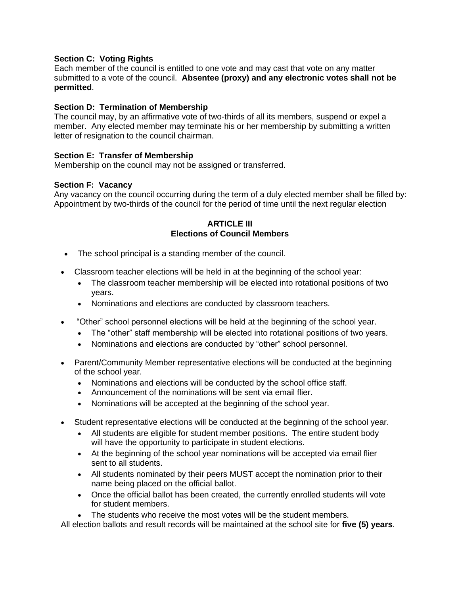## **Section C: Voting Rights**

Each member of the council is entitled to one vote and may cast that vote on any matter submitted to a vote of the council. **Absentee (proxy) and any electronic votes shall not be permitted**.

#### **Section D: Termination of Membership**

The council may, by an affirmative vote of two-thirds of all its members, suspend or expel a member. Any elected member may terminate his or her membership by submitting a written letter of resignation to the council chairman.

#### **Section E: Transfer of Membership**

Membership on the council may not be assigned or transferred.

#### **Section F: Vacancy**

Any vacancy on the council occurring during the term of a duly elected member shall be filled by: Appointment by two-thirds of the council for the period of time until the next regular election

### **ARTICLE III Elections of Council Members**

- The school principal is a standing member of the council.
- Classroom teacher elections will be held in at the beginning of the school year:
	- The classroom teacher membership will be elected into rotational positions of two years.
	- Nominations and elections are conducted by classroom teachers.
- "Other" school personnel elections will be held at the beginning of the school year.
	- The "other" staff membership will be elected into rotational positions of two years.
	- Nominations and elections are conducted by "other" school personnel.
- Parent/Community Member representative elections will be conducted at the beginning of the school year.
	- Nominations and elections will be conducted by the school office staff.
	- Announcement of the nominations will be sent via email flier.
	- Nominations will be accepted at the beginning of the school year.
- Student representative elections will be conducted at the beginning of the school year.
	- All students are eligible for student member positions. The entire student body will have the opportunity to participate in student elections.
	- At the beginning of the school year nominations will be accepted via email flier sent to all students.
	- All students nominated by their peers MUST accept the nomination prior to their name being placed on the official ballot.
	- Once the official ballot has been created, the currently enrolled students will vote for student members.
	- The students who receive the most votes will be the student members.

All election ballots and result records will be maintained at the school site for **five (5) years**.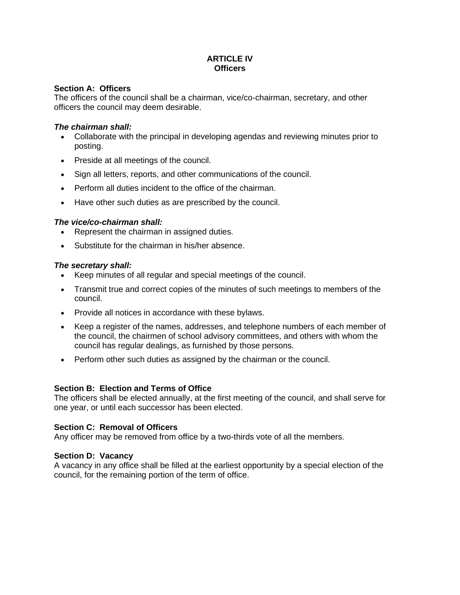# **ARTICLE IV Officers**

### **Section A: Officers**

The officers of the council shall be a chairman, vice/co-chairman, secretary, and other officers the council may deem desirable.

### *The chairman shall:*

- Collaborate with the principal in developing agendas and reviewing minutes prior to posting.
- Preside at all meetings of the council.
- Sign all letters, reports, and other communications of the council.
- Perform all duties incident to the office of the chairman.
- Have other such duties as are prescribed by the council.

## *The vice/co-chairman shall:*

- Represent the chairman in assigned duties.
- Substitute for the chairman in his/her absence.

## *The secretary shall:*

- Keep minutes of all regular and special meetings of the council.
- Transmit true and correct copies of the minutes of such meetings to members of the council.
- Provide all notices in accordance with these bylaws.
- Keep a register of the names, addresses, and telephone numbers of each member of the council, the chairmen of school advisory committees, and others with whom the council has regular dealings, as furnished by those persons.
- Perform other such duties as assigned by the chairman or the council.

## **Section B: Election and Terms of Office**

The officers shall be elected annually, at the first meeting of the council, and shall serve for one year, or until each successor has been elected.

## **Section C: Removal of Officers**

Any officer may be removed from office by a two-thirds vote of all the members.

## **Section D: Vacancy**

A vacancy in any office shall be filled at the earliest opportunity by a special election of the council, for the remaining portion of the term of office.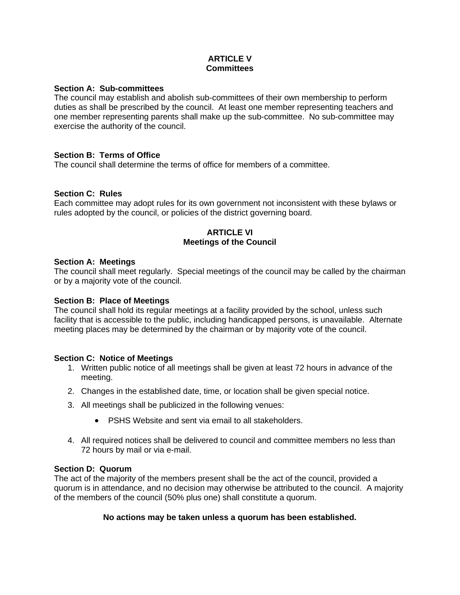## **ARTICLE V Committees**

#### **Section A: Sub-committees**

The council may establish and abolish sub-committees of their own membership to perform duties as shall be prescribed by the council. At least one member representing teachers and one member representing parents shall make up the sub-committee. No sub-committee may exercise the authority of the council.

## **Section B: Terms of Office**

The council shall determine the terms of office for members of a committee.

#### **Section C: Rules**

Each committee may adopt rules for its own government not inconsistent with these bylaws or rules adopted by the council, or policies of the district governing board.

### **ARTICLE VI Meetings of the Council**

#### **Section A: Meetings**

The council shall meet regularly. Special meetings of the council may be called by the chairman or by a majority vote of the council.

#### **Section B: Place of Meetings**

The council shall hold its regular meetings at a facility provided by the school, unless such facility that is accessible to the public, including handicapped persons, is unavailable. Alternate meeting places may be determined by the chairman or by majority vote of the council.

#### **Section C: Notice of Meetings**

- 1. Written public notice of all meetings shall be given at least 72 hours in advance of the meeting.
- 2. Changes in the established date, time, or location shall be given special notice.
- 3. All meetings shall be publicized in the following venues:
	- PSHS Website and sent via email to all stakeholders.
- 4. All required notices shall be delivered to council and committee members no less than 72 hours by mail or via e-mail.

#### **Section D: Quorum**

The act of the majority of the members present shall be the act of the council, provided a quorum is in attendance, and no decision may otherwise be attributed to the council. A majority of the members of the council (50% plus one) shall constitute a quorum.

## **No actions may be taken unless a quorum has been established.**